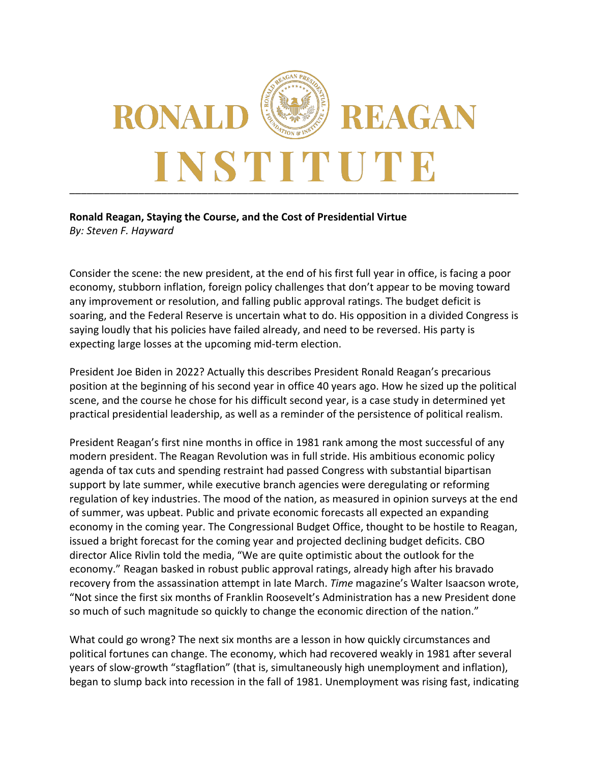

## **Ronald Reagan, Staying the Course, and the Cost of Presidential Virtue**  *By: Steven F. Hayward*

Consider the scene: the new president, at the end of his first full year in office, is facing a poor economy, stubborn inflation, foreign policy challenges that don't appear to be moving toward any improvement or resolution, and falling public approval ratings. The budget deficit is soaring, and the Federal Reserve is uncertain what to do. His opposition in a divided Congress is saying loudly that his policies have failed already, and need to be reversed. His party is expecting large losses at the upcoming mid-term election.

President Joe Biden in 2022? Actually this describes President Ronald Reagan's precarious position at the beginning of his second year in office 40 years ago. How he sized up the political scene, and the course he chose for his difficult second year, is a case study in determined yet practical presidential leadership, as well as a reminder of the persistence of political realism.

President Reagan's first nine months in office in 1981 rank among the most successful of any modern president. The Reagan Revolution was in full stride. His ambitious economic policy agenda of tax cuts and spending restraint had passed Congress with substantial bipartisan support by late summer, while executive branch agencies were deregulating or reforming regulation of key industries. The mood of the nation, as measured in opinion surveys at the end of summer, was upbeat. Public and private economic forecasts all expected an expanding economy in the coming year. The Congressional Budget Office, thought to be hostile to Reagan, issued a bright forecast for the coming year and projected declining budget deficits. CBO director Alice Rivlin told the media, "We are quite optimistic about the outlook for the economy." Reagan basked in robust public approval ratings, already high after his bravado recovery from the assassination attempt in late March. *Time* magazine's Walter Isaacson wrote, "Not since the first six months of Franklin Roosevelt's Administration has a new President done so much of such magnitude so quickly to change the economic direction of the nation."

What could go wrong? The next six months are a lesson in how quickly circumstances and political fortunes can change. The economy, which had recovered weakly in 1981 after several years of slow-growth "stagflation" (that is, simultaneously high unemployment and inflation), began to slump back into recession in the fall of 1981. Unemployment was rising fast, indicating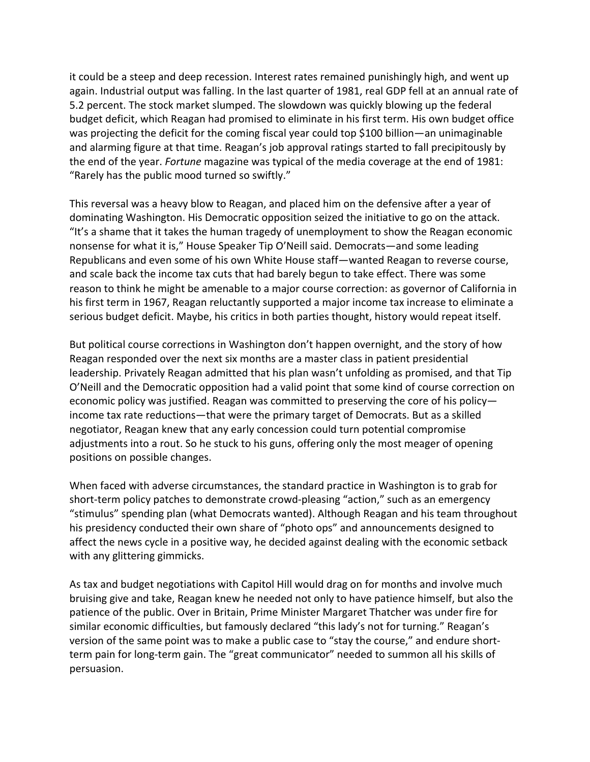it could be a steep and deep recession. Interest rates remained punishingly high, and went up again. Industrial output was falling. In the last quarter of 1981, real GDP fell at an annual rate of 5.2 percent. The stock market slumped. The slowdown was quickly blowing up the federal budget deficit, which Reagan had promised to eliminate in his first term. His own budget office was projecting the deficit for the coming fiscal year could top \$100 billion—an unimaginable and alarming figure at that time. Reagan's job approval ratings started to fall precipitously by the end of the year. *Fortune* magazine was typical of the media coverage at the end of 1981: "Rarely has the public mood turned so swiftly."

This reversal was a heavy blow to Reagan, and placed him on the defensive after a year of dominating Washington. His Democratic opposition seized the initiative to go on the attack. "It's a shame that it takes the human tragedy of unemployment to show the Reagan economic nonsense for what it is," House Speaker Tip O'Neill said. Democrats—and some leading Republicans and even some of his own White House staff—wanted Reagan to reverse course, and scale back the income tax cuts that had barely begun to take effect. There was some reason to think he might be amenable to a major course correction: as governor of California in his first term in 1967, Reagan reluctantly supported a major income tax increase to eliminate a serious budget deficit. Maybe, his critics in both parties thought, history would repeat itself.

But political course corrections in Washington don't happen overnight, and the story of how Reagan responded over the next six months are a master class in patient presidential leadership. Privately Reagan admitted that his plan wasn't unfolding as promised, and that Tip O'Neill and the Democratic opposition had a valid point that some kind of course correction on economic policy was justified. Reagan was committed to preserving the core of his policy income tax rate reductions—that were the primary target of Democrats. But as a skilled negotiator, Reagan knew that any early concession could turn potential compromise adjustments into a rout. So he stuck to his guns, offering only the most meager of opening positions on possible changes.

When faced with adverse circumstances, the standard practice in Washington is to grab for short-term policy patches to demonstrate crowd-pleasing "action," such as an emergency "stimulus" spending plan (what Democrats wanted). Although Reagan and his team throughout his presidency conducted their own share of "photo ops" and announcements designed to affect the news cycle in a positive way, he decided against dealing with the economic setback with any glittering gimmicks.

As tax and budget negotiations with Capitol Hill would drag on for months and involve much bruising give and take, Reagan knew he needed not only to have patience himself, but also the patience of the public. Over in Britain, Prime Minister Margaret Thatcher was under fire for similar economic difficulties, but famously declared "this lady's not for turning." Reagan's version of the same point was to make a public case to "stay the course," and endure shortterm pain for long-term gain. The "great communicator" needed to summon all his skills of persuasion.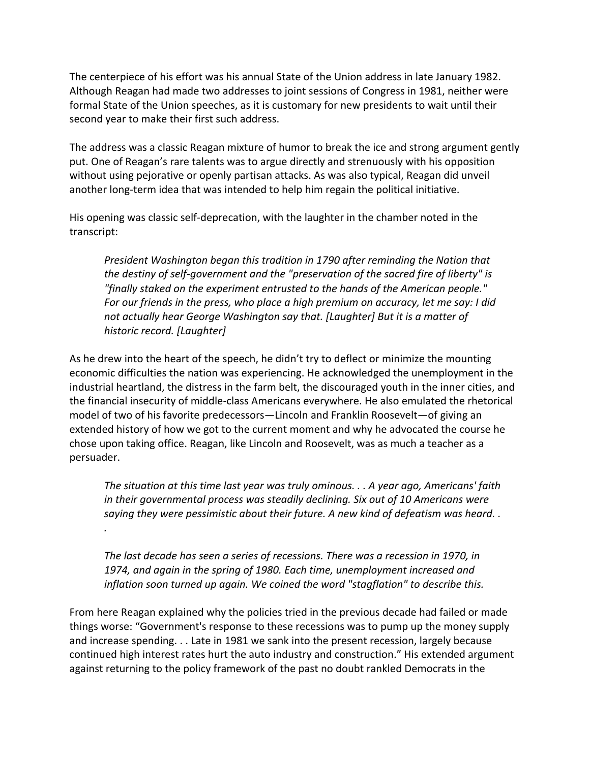The centerpiece of his effort was his annual State of the Union address in late January 1982. Although Reagan had made two addresses to joint sessions of Congress in 1981, neither were formal State of the Union speeches, as it is customary for new presidents to wait until their second year to make their first such address.

The address was a classic Reagan mixture of humor to break the ice and strong argument gently put. One of Reagan's rare talents was to argue directly and strenuously with his opposition without using pejorative or openly partisan attacks. As was also typical, Reagan did unveil another long-term idea that was intended to help him regain the political initiative.

His opening was classic self-deprecation, with the laughter in the chamber noted in the transcript:

*President Washington began this tradition in 1790 after reminding the Nation that the destiny of self-government and the "preservation of the sacred fire of liberty" is "finally staked on the experiment entrusted to the hands of the American people." For our friends in the press, who place a high premium on accuracy, let me say: I did not actually hear George Washington say that. [Laughter] But it is a matter of historic record. [Laughter]*

As he drew into the heart of the speech, he didn't try to deflect or minimize the mounting economic difficulties the nation was experiencing. He acknowledged the unemployment in the industrial heartland, the distress in the farm belt, the discouraged youth in the inner cities, and the financial insecurity of middle-class Americans everywhere. He also emulated the rhetorical model of two of his favorite predecessors—Lincoln and Franklin Roosevelt—of giving an extended history of how we got to the current moment and why he advocated the course he chose upon taking office. Reagan, like Lincoln and Roosevelt, was as much a teacher as a persuader.

*The situation at this time last year was truly ominous. . . A year ago, Americans' faith in their governmental process was steadily declining. Six out of 10 Americans were saying they were pessimistic about their future. A new kind of defeatism was heard. .* 

*The last decade has seen a series of recessions. There was a recession in 1970, in 1974, and again in the spring of 1980. Each time, unemployment increased and inflation soon turned up again. We coined the word "stagflation" to describe this.*

*.*

From here Reagan explained why the policies tried in the previous decade had failed or made things worse: "Government's response to these recessions was to pump up the money supply and increase spending. . . Late in 1981 we sank into the present recession, largely because continued high interest rates hurt the auto industry and construction." His extended argument against returning to the policy framework of the past no doubt rankled Democrats in the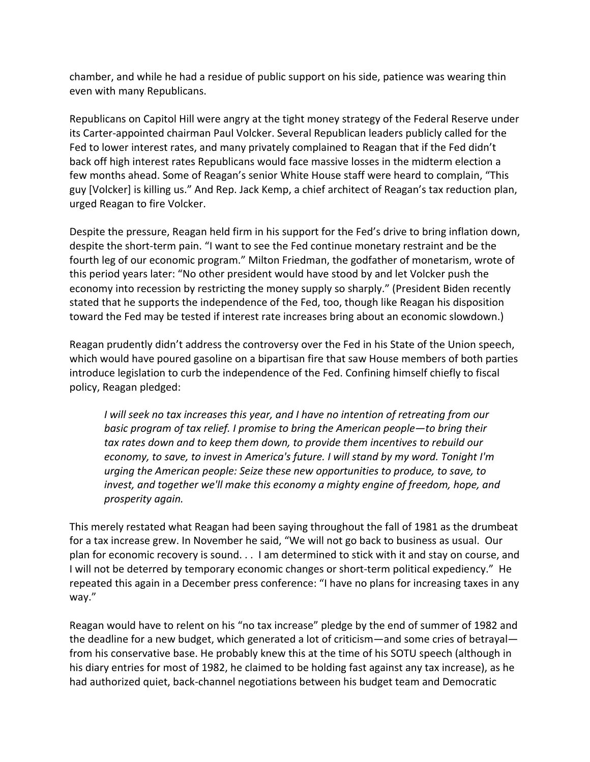chamber, and while he had a residue of public support on his side, patience was wearing thin even with many Republicans.

Republicans on Capitol Hill were angry at the tight money strategy of the Federal Reserve under its Carter-appointed chairman Paul Volcker. Several Republican leaders publicly called for the Fed to lower interest rates, and many privately complained to Reagan that if the Fed didn't back off high interest rates Republicans would face massive losses in the midterm election a few months ahead. Some of Reagan's senior White House staff were heard to complain, "This guy [Volcker] is killing us." And Rep. Jack Kemp, a chief architect of Reagan's tax reduction plan, urged Reagan to fire Volcker.

Despite the pressure, Reagan held firm in his support for the Fed's drive to bring inflation down, despite the short-term pain. "I want to see the Fed continue monetary restraint and be the fourth leg of our economic program." Milton Friedman, the godfather of monetarism, wrote of this period years later: "No other president would have stood by and let Volcker push the economy into recession by restricting the money supply so sharply." (President Biden recently stated that he supports the independence of the Fed, too, though like Reagan his disposition toward the Fed may be tested if interest rate increases bring about an economic slowdown.)

Reagan prudently didn't address the controversy over the Fed in his State of the Union speech, which would have poured gasoline on a bipartisan fire that saw House members of both parties introduce legislation to curb the independence of the Fed. Confining himself chiefly to fiscal policy, Reagan pledged:

*I will seek no tax increases this year, and I have no intention of retreating from our basic program of tax relief. I promise to bring the American people—to bring their tax rates down and to keep them down, to provide them incentives to rebuild our economy, to save, to invest in America's future. I will stand by my word. Tonight I'm urging the American people: Seize these new opportunities to produce, to save, to invest, and together we'll make this economy a mighty engine of freedom, hope, and prosperity again.*

This merely restated what Reagan had been saying throughout the fall of 1981 as the drumbeat for a tax increase grew. In November he said, "We will not go back to business as usual. Our plan for economic recovery is sound. . . I am determined to stick with it and stay on course, and I will not be deterred by temporary economic changes or short-term political expediency." He repeated this again in a December press conference: "I have no plans for increasing taxes in any way."

Reagan would have to relent on his "no tax increase" pledge by the end of summer of 1982 and the deadline for a new budget, which generated a lot of criticism—and some cries of betrayal from his conservative base. He probably knew this at the time of his SOTU speech (although in his diary entries for most of 1982, he claimed to be holding fast against any tax increase), as he had authorized quiet, back-channel negotiations between his budget team and Democratic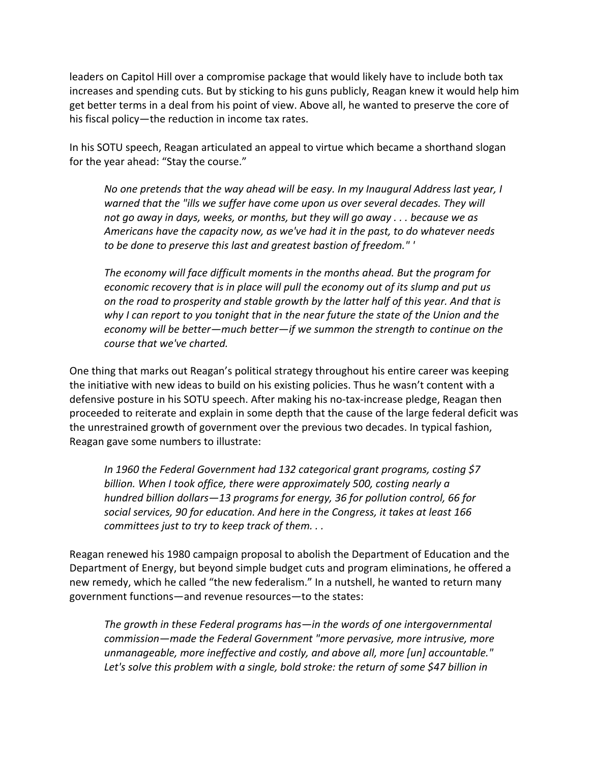leaders on Capitol Hill over a compromise package that would likely have to include both tax increases and spending cuts. But by sticking to his guns publicly, Reagan knew it would help him get better terms in a deal from his point of view. Above all, he wanted to preserve the core of his fiscal policy—the reduction in income tax rates.

In his SOTU speech, Reagan articulated an appeal to virtue which became a shorthand slogan for the year ahead: "Stay the course."

*No one pretends that the way ahead will be easy. In my Inaugural Address last year, I warned that the "ills we suffer have come upon us over several decades. They will not go away in days, weeks, or months, but they will go away . . . because we as Americans have the capacity now, as we've had it in the past, to do whatever needs to be done to preserve this last and greatest bastion of freedom." '*

*The economy will face difficult moments in the months ahead. But the program for economic recovery that is in place will pull the economy out of its slump and put us on the road to prosperity and stable growth by the latter half of this year. And that is why I can report to you tonight that in the near future the state of the Union and the economy will be better—much better—if we summon the strength to continue on the course that we've charted.*

One thing that marks out Reagan's political strategy throughout his entire career was keeping the initiative with new ideas to build on his existing policies. Thus he wasn't content with a defensive posture in his SOTU speech. After making his no-tax-increase pledge, Reagan then proceeded to reiterate and explain in some depth that the cause of the large federal deficit was the unrestrained growth of government over the previous two decades. In typical fashion, Reagan gave some numbers to illustrate:

*In 1960 the Federal Government had 132 categorical grant programs, costing \$7 billion. When I took office, there were approximately 500, costing nearly a hundred billion dollars—13 programs for energy, 36 for pollution control, 66 for social services, 90 for education. And here in the Congress, it takes at least 166 committees just to try to keep track of them. . .*

Reagan renewed his 1980 campaign proposal to abolish the Department of Education and the Department of Energy, but beyond simple budget cuts and program eliminations, he offered a new remedy, which he called "the new federalism." In a nutshell, he wanted to return many government functions—and revenue resources—to the states:

*The growth in these Federal programs has—in the words of one intergovernmental commission—made the Federal Government "more pervasive, more intrusive, more unmanageable, more ineffective and costly, and above all, more [un] accountable." Let's solve this problem with a single, bold stroke: the return of some \$47 billion in*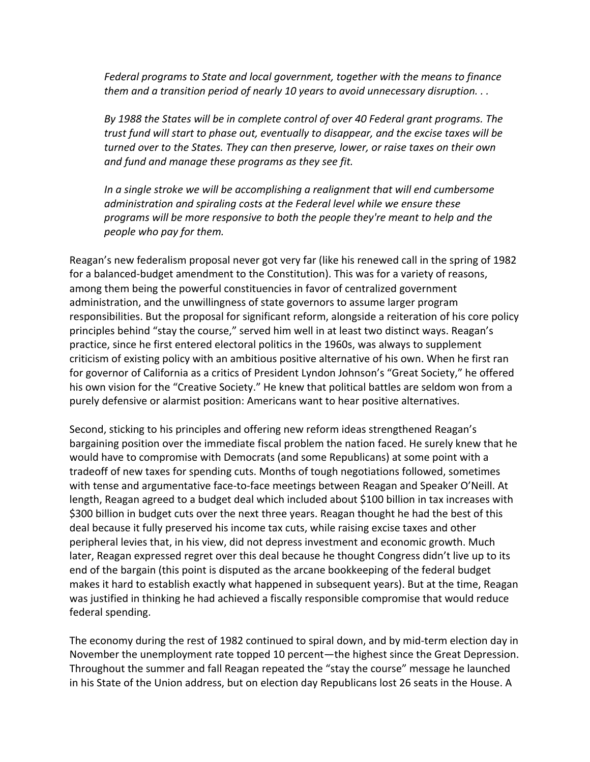*Federal programs to State and local government, together with the means to finance them and a transition period of nearly 10 years to avoid unnecessary disruption. . .*

*By 1988 the States will be in complete control of over 40 Federal grant programs. The trust fund will start to phase out, eventually to disappear, and the excise taxes will be turned over to the States. They can then preserve, lower, or raise taxes on their own and fund and manage these programs as they see fit.*

*In a single stroke we will be accomplishing a realignment that will end cumbersome administration and spiraling costs at the Federal level while we ensure these programs will be more responsive to both the people they're meant to help and the people who pay for them.*

Reagan's new federalism proposal never got very far (like his renewed call in the spring of 1982 for a balanced-budget amendment to the Constitution). This was for a variety of reasons, among them being the powerful constituencies in favor of centralized government administration, and the unwillingness of state governors to assume larger program responsibilities. But the proposal for significant reform, alongside a reiteration of his core policy principles behind "stay the course," served him well in at least two distinct ways. Reagan's practice, since he first entered electoral politics in the 1960s, was always to supplement criticism of existing policy with an ambitious positive alternative of his own. When he first ran for governor of California as a critics of President Lyndon Johnson's "Great Society," he offered his own vision for the "Creative Society." He knew that political battles are seldom won from a purely defensive or alarmist position: Americans want to hear positive alternatives.

Second, sticking to his principles and offering new reform ideas strengthened Reagan's bargaining position over the immediate fiscal problem the nation faced. He surely knew that he would have to compromise with Democrats (and some Republicans) at some point with a tradeoff of new taxes for spending cuts. Months of tough negotiations followed, sometimes with tense and argumentative face-to-face meetings between Reagan and Speaker O'Neill. At length, Reagan agreed to a budget deal which included about \$100 billion in tax increases with \$300 billion in budget cuts over the next three years. Reagan thought he had the best of this deal because it fully preserved his income tax cuts, while raising excise taxes and other peripheral levies that, in his view, did not depress investment and economic growth. Much later, Reagan expressed regret over this deal because he thought Congress didn't live up to its end of the bargain (this point is disputed as the arcane bookkeeping of the federal budget makes it hard to establish exactly what happened in subsequent years). But at the time, Reagan was justified in thinking he had achieved a fiscally responsible compromise that would reduce federal spending.

The economy during the rest of 1982 continued to spiral down, and by mid-term election day in November the unemployment rate topped 10 percent—the highest since the Great Depression. Throughout the summer and fall Reagan repeated the "stay the course" message he launched in his State of the Union address, but on election day Republicans lost 26 seats in the House. A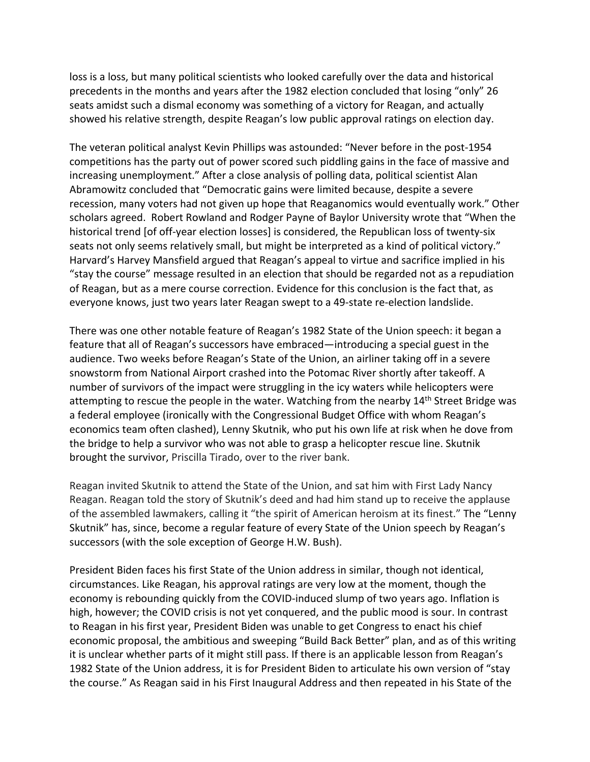loss is a loss, but many political scientists who looked carefully over the data and historical precedents in the months and years after the 1982 election concluded that losing "only" 26 seats amidst such a dismal economy was something of a victory for Reagan, and actually showed his relative strength, despite Reagan's low public approval ratings on election day.

The veteran political analyst Kevin Phillips was astounded: "Never before in the post-1954 competitions has the party out of power scored such piddling gains in the face of massive and increasing unemployment." After a close analysis of polling data, political scientist Alan Abramowitz concluded that "Democratic gains were limited because, despite a severe recession, many voters had not given up hope that Reaganomics would eventually work." Other scholars agreed. Robert Rowland and Rodger Payne of Baylor University wrote that "When the historical trend [of off-year election losses] is considered, the Republican loss of twenty-six seats not only seems relatively small, but might be interpreted as a kind of political victory." Harvard's Harvey Mansfield argued that Reagan's appeal to virtue and sacrifice implied in his "stay the course" message resulted in an election that should be regarded not as a repudiation of Reagan, but as a mere course correction. Evidence for this conclusion is the fact that, as everyone knows, just two years later Reagan swept to a 49-state re-election landslide.

There was one other notable feature of Reagan's 1982 State of the Union speech: it began a feature that all of Reagan's successors have embraced—introducing a special guest in the audience. Two weeks before Reagan's State of the Union, an airliner taking off in a severe snowstorm from National Airport crashed into the Potomac River shortly after takeoff. A number of survivors of the impact were struggling in the icy waters while helicopters were attempting to rescue the people in the water. Watching from the nearby 14<sup>th</sup> Street Bridge was a federal employee (ironically with the Congressional Budget Office with whom Reagan's economics team often clashed), Lenny Skutnik, who put his own life at risk when he dove from the bridge to help a survivor who was not able to grasp a helicopter rescue line. Skutnik brought the survivor, Priscilla Tirado, over to the river bank.

Reagan invited Skutnik to attend the State of the Union, and sat him with First Lady Nancy Reagan. Reagan told the story of Skutnik's deed and had him stand up to receive the applause of the assembled lawmakers, calling it "the spirit of American heroism at its finest." The "Lenny Skutnik" has, since, become a regular feature of every State of the Union speech by Reagan's successors (with the sole exception of George H.W. Bush).

President Biden faces his first State of the Union address in similar, though not identical, circumstances. Like Reagan, his approval ratings are very low at the moment, though the economy is rebounding quickly from the COVID-induced slump of two years ago. Inflation is high, however; the COVID crisis is not yet conquered, and the public mood is sour. In contrast to Reagan in his first year, President Biden was unable to get Congress to enact his chief economic proposal, the ambitious and sweeping "Build Back Better" plan, and as of this writing it is unclear whether parts of it might still pass. If there is an applicable lesson from Reagan's 1982 State of the Union address, it is for President Biden to articulate his own version of "stay the course." As Reagan said in his First Inaugural Address and then repeated in his State of the